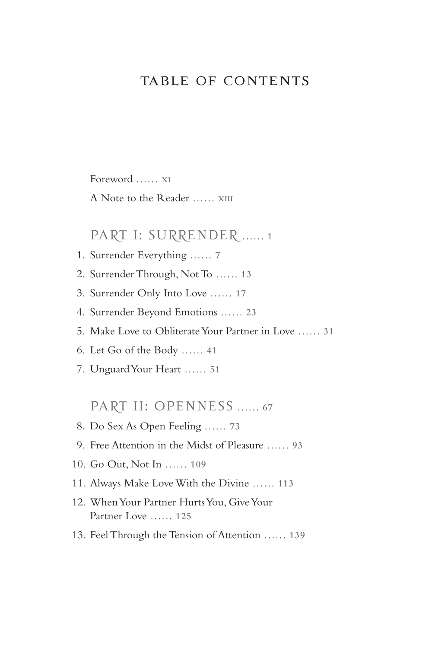## TABLE OF CONTENTS

Foreword …… **XI**

A Note to the Reader …… **XIII**

#### PART I: SURRENDER …… **<sup>1</sup>**

- 1. Surrender Everything …… **7**
- 2. Surrender Through, Not To …… **13**
- 3. Surrender Only Into Love …… **17**
- 4. Surrender Beyond Emotions …… **23**
- 5. Make Love to Obliterate Your Partner in Love …… **31**
- 6. Let Go of the Body …… **41**
- 7. Unguard Your Heart …… **51**

PART II: OPENNESS …… **<sup>67</sup>**

- 8. Do Sex As Open Feeling …… **73**
- 9. Free Attention in the Midst of Pleasure …… **93**
- 10. Go Out, Not In …… **109**
- 11. Always Make Love With the Divine …… **113**
- 12. When Your Partner Hurts You, Give Your Partner Love …… **125**
- 13. Feel Through the Tension of Attention …… **139**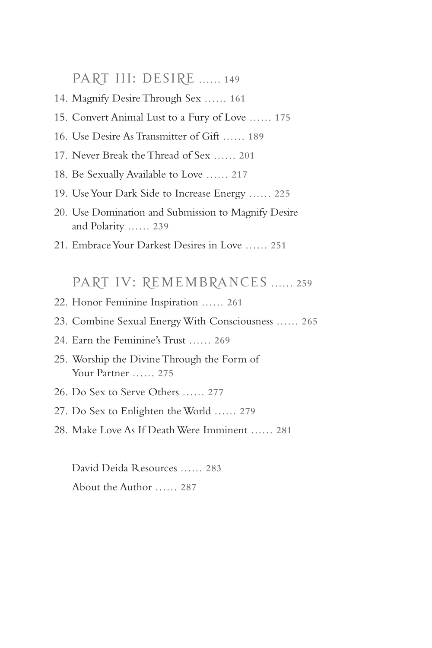PART III: DESIRE …… **<sup>149</sup>**

- 14. Magnify Desire Through Sex …… **161**
- 15. Convert Animal Lust to a Fury of Love …… **175**
- 16. Use Desire As Transmitter of Gift …… **189**
- 17. Never Break the Thread of Sex …… **201**
- 18. Be Sexually Available to Love …… **217**
- 19. Use Your Dark Side to Increase Energy …… **225**
- 20. Use Domination and Submission to Magnify Desire and Polarity …… **239**
- 21. Embrace Your Darkest Desires in Love …… **251**

PART IV: REMEMBRANCES …… **<sup>259</sup>**

- 22. Honor Feminine Inspiration …… **261**
- 23. Combine Sexual Energy With Consciousness …… **265**
- 24. Earn the Feminine's Trust …… **269**
- 25. Worship the Divine Through the Form of Your Partner …… **275**
- 26. Do Sex to Serve Others …… **277**
- 27. Do Sex to Enlighten the World …… **279**
- 28. Make Love As If Death Were Imminent …… **281**

 David Deida Resources …… **283** About the Author …… **287**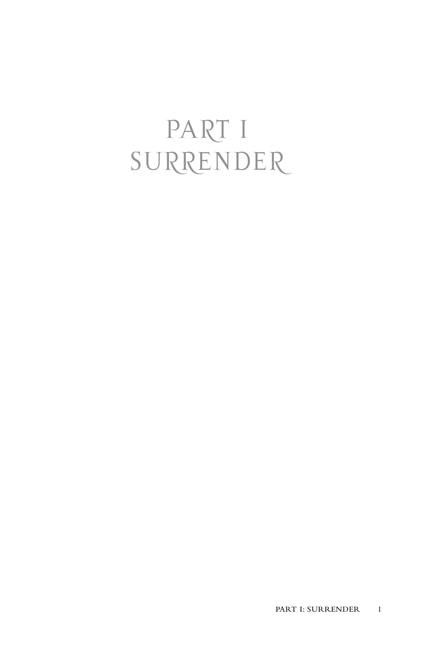# PART I SURRENDER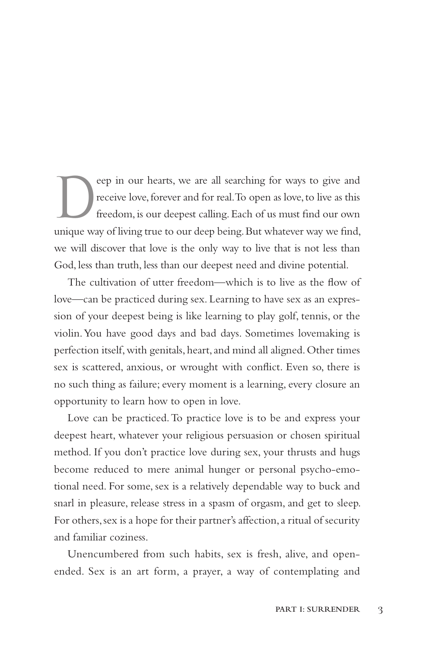eep in our hearts, we are all searching for ways to give and<br>receive love, forever and for real. To open as love, to live as this<br>freedom, is our deepest calling. Each of us must find our own<br>unique way of living true to o receive love, forever and for real. To open as love, to live as this freedom, is our deepest calling. Each of us must find our own unique way of living true to our deep being. But whatever way we find, we will discover that love is the only way to live that is not less than God, less than truth, less than our deepest need and divine potential.

The cultivation of utter freedom—which is to live as the flow of love—can be practiced during sex. Learning to have sex as an expression of your deepest being is like learning to play golf, tennis, or the violin. You have good days and bad days. Sometimes lovemaking is perfection itself, with genitals, heart, and mind all aligned. Other times sex is scattered, anxious, or wrought with conflict. Even so, there is no such thing as failure; every moment is a learning, every closure an opportunity to learn how to open in love.

Love can be practiced. To practice love is to be and express your deepest heart, whatever your religious persuasion or chosen spiritual method. If you don't practice love during sex, your thrusts and hugs become reduced to mere animal hunger or personal psycho-emotional need. For some, sex is a relatively dependable way to buck and snarl in pleasure, release stress in a spasm of orgasm, and get to sleep. For others, sex is a hope for their partner's affection, a ritual of security and familiar coziness.

Unencumbered from such habits, sex is fresh, alive, and openended. Sex is an art form, a prayer, a way of contemplating and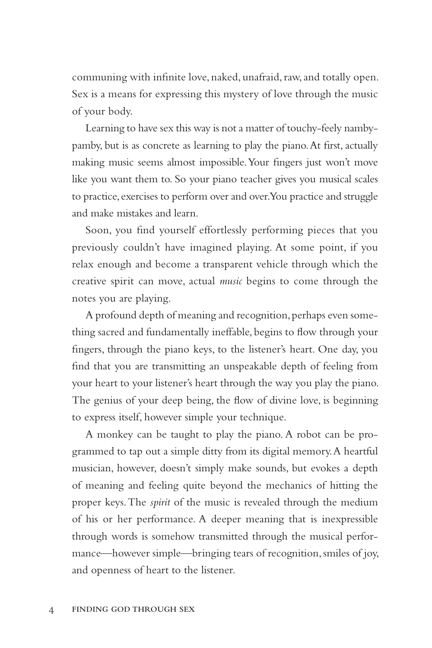communing with infinite love, naked, unafraid, raw, and totally open. Sex is a means for expressing this mystery of love through the music of your body.

Learning to have sex this way is not a matter of touchy-feely nambypamby, but is as concrete as learning to play the piano. At first, actually making music seems almost impossible. Your fingers just won't move like you want them to. So your piano teacher gives you musical scales to practice, exercises to perform over and over. You practice and struggle and make mistakes and learn.

Soon, you find yourself effortlessly performing pieces that you previously couldn't have imagined playing. At some point, if you relax enough and become a transparent vehicle through which the creative spirit can move, actual *music* begins to come through the notes you are playing.

A profound depth of meaning and recognition, perhaps even something sacred and fundamentally ineffable, begins to flow through your fingers, through the piano keys, to the listener's heart. One day, you find that you are transmitting an unspeakable depth of feeling from your heart to your listener's heart through the way you play the piano. The genius of your deep being, the flow of divine love, is beginning to express itself, however simple your technique.

A monkey can be taught to play the piano. A robot can be programmed to tap out a simple ditty from its digital memory. A heartful musician, however, doesn't simply make sounds, but evokes a depth of meaning and feeling quite beyond the mechanics of hitting the proper keys. The *spirit* of the music is revealed through the medium of his or her performance. A deeper meaning that is inexpressible through words is somehow transmitted through the musical performance—however simple—bringing tears of recognition, smiles of joy, and openness of heart to the listener.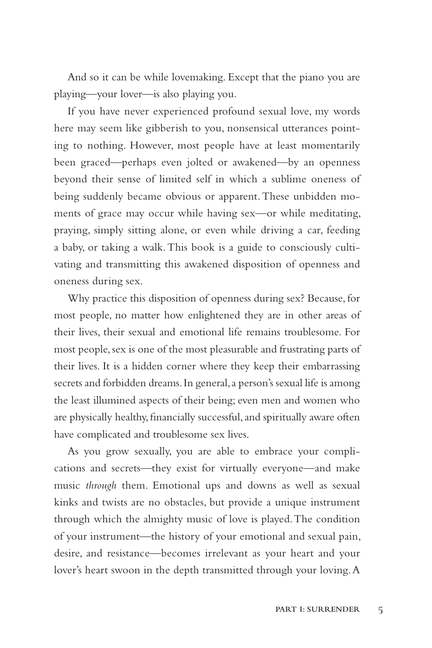And so it can be while lovemaking. Except that the piano you are playing—your lover—is also playing you.

If you have never experienced profound sexual love, my words here may seem like gibberish to you, nonsensical utterances pointing to nothing. However, most people have at least momentarily been graced—perhaps even jolted or awakened—by an openness beyond their sense of limited self in which a sublime oneness of being suddenly became obvious or apparent. These unbidden moments of grace may occur while having sex—or while meditating, praying, simply sitting alone, or even while driving a car, feeding a baby, or taking a walk. This book is a guide to consciously cultivating and transmitting this awakened disposition of openness and oneness during sex.

Why practice this disposition of openness during sex? Because, for most people, no matter how enlightened they are in other areas of their lives, their sexual and emotional life remains troublesome. For most people, sex is one of the most pleasurable and frustrating parts of their lives. It is a hidden corner where they keep their embarrassing secrets and forbidden dreams. In general, a person's sexual life is among the least illumined aspects of their being; even men and women who are physically healthy, financially successful, and spiritually aware often have complicated and troublesome sex lives.

As you grow sexually, you are able to embrace your complications and secrets—they exist for virtually everyone—and make music *through* them. Emotional ups and downs as well as sexual kinks and twists are no obstacles, but provide a unique instrument through which the almighty music of love is played. The condition of your instrument—the history of your emotional and sexual pain, desire, and resistance—becomes irrelevant as your heart and your lover's heart swoon in the depth transmitted through your loving. A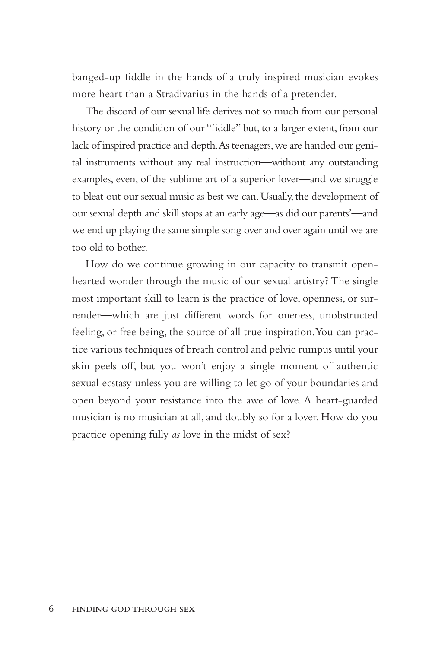banged-up fiddle in the hands of a truly inspired musician evokes more heart than a Stradivarius in the hands of a pretender.

The discord of our sexual life derives not so much from our personal history or the condition of our "fiddle" but, to a larger extent, from our lack of inspired practice and depth. As teenagers, we are handed our genital instruments without any real instruction—without any outstanding examples, even, of the sublime art of a superior lover—and we struggle to bleat out our sexual music as best we can. Usually, the development of our sexual depth and skill stops at an early age—as did our parents'—and we end up playing the same simple song over and over again until we are too old to bother.

How do we continue growing in our capacity to transmit openhearted wonder through the music of our sexual artistry? The single most important skill to learn is the practice of love, openness, or surrender—which are just different words for oneness, unobstructed feeling, or free being, the source of all true inspiration. You can practice various techniques of breath control and pelvic rumpus until your skin peels off, but you won't enjoy a single moment of authentic sexual ecstasy unless you are willing to let go of your boundaries and open beyond your resistance into the awe of love. A heart-guarded musician is no musician at all, and doubly so for a lover. How do you practice opening fully *as* love in the midst of sex?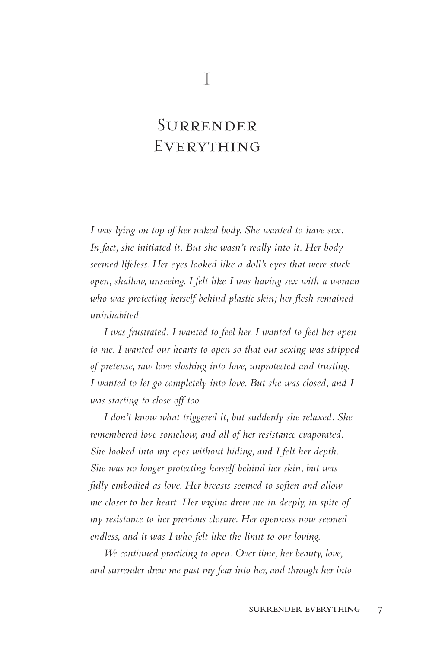# Surrender **EVERYTHING**

*I was lying on top of her naked body. She wanted to have sex. In fact, she initiated it. But she wasn't really into it. Her body seemed lifeless. Her eyes looked like a doll's eyes that were stuck open, shallow, unseeing. I felt like I was having sex with a woman who was protecting herself behind plastic skin; her flesh remained uninhabited.* 

*I was frustrated. I wanted to feel her. I wanted to feel her open to me. I wanted our hearts to open so that our sexing was stripped of pretense, raw love sloshing into love, unprotected and trusting. I wanted to let go completely into love. But she was closed, and I was starting to close off too.*

*I don't know what triggered it, but suddenly she relaxed. She remembered love somehow, and all of her resistance evaporated. She looked into my eyes without hiding, and I felt her depth. She was no longer protecting herself behind her skin, but was fully embodied as love. Her breasts seemed to soften and allow me closer to her heart. Her vagina drew me in deeply, in spite of my resistance to her previous closure. Her openness now seemed endless, and it was I who felt like the limit to our loving.*

*We continued practicing to open. Over time, her beauty, love, and surrender drew me past my fear into her, and through her into*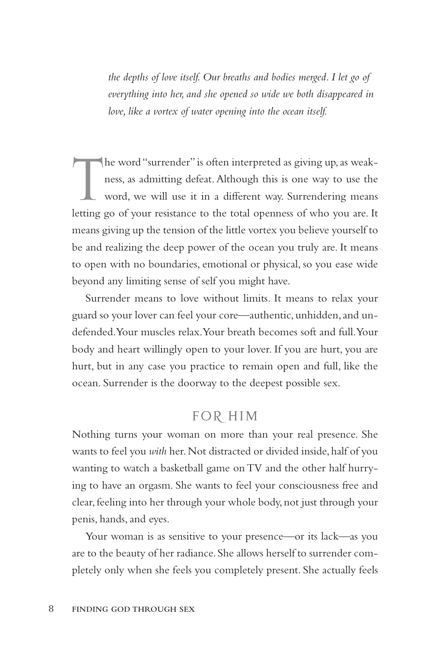*the depths of love itself. Our breaths and bodies merged. I let go of everything into her, and she opened so wide we both disappeared in love, like a vortex of water opening into the ocean itself.*

 $\prod$ he word "surrender" is often interpreted as giving up, as weakness, as admitting defeat. Although this is one way to use the word, we will use it in a different way. Surrendering means letting go of your resistance to the total openness of who you are. It means giving up the tension of the little vortex you believe yourself to be and realizing the deep power of the ocean you truly are. It means to open with no boundaries, emotional or physical, so you ease wide beyond any limiting sense of self you might have.

Surrender means to love without limits. It means to relax your guard so your lover can feel your core—authentic, unhidden, and undefended. Your muscles relax. Your breath becomes soft and full. Your body and heart willingly open to your lover. If you are hurt, you are hurt, but in any case you practice to remain open and full, like the ocean. Surrender is the doorway to the deepest possible sex.

### FOR HIM

Nothing turns your woman on more than your real presence. She wants to feel you *with* her. Not distracted or divided inside, half of you wanting to watch a basketball game on TV and the other half hurrying to have an orgasm. She wants to feel your consciousness free and clear, feeling into her through your whole body, not just through your penis, hands, and eyes.

Your woman is as sensitive to your presence—or its lack—as you are to the beauty of her radiance. She allows herself to surrender completely only when she feels you completely present. She actually feels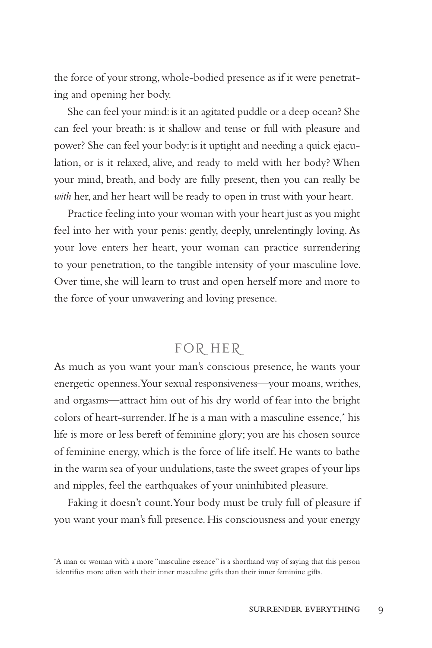the force of your strong, whole-bodied presence as if it were penetrating and opening her body.

She can feel your mind: is it an agitated puddle or a deep ocean? She can feel your breath: is it shallow and tense or full with pleasure and power? She can feel your body: is it uptight and needing a quick ejaculation, or is it relaxed, alive, and ready to meld with her body? When your mind, breath, and body are fully present, then you can really be *with* her, and her heart will be ready to open in trust with your heart.

Practice feeling into your woman with your heart just as you might feel into her with your penis: gently, deeply, unrelentingly loving. As your love enters her heart, your woman can practice surrendering to your penetration, to the tangible intensity of your masculine love. Over time, she will learn to trust and open herself more and more to the force of your unwavering and loving presence.

## FOR HER

As much as you want your man's conscious presence, he wants your energetic openness. Your sexual responsiveness—your moans, writhes, and orgasms—attract him out of his dry world of fear into the bright colors of heart-surrender. If he is a man with a masculine essence,\* his life is more or less bereft of feminine glory; you are his chosen source of feminine energy, which is the force of life itself. He wants to bathe in the warm sea of your undulations, taste the sweet grapes of your lips and nipples, feel the earthquakes of your uninhibited pleasure.

Faking it doesn't count. Your body must be truly full of pleasure if you want your man's full presence. His consciousness and your energy

<sup>\*</sup> A man or woman with a more "masculine essence" is a shorthand way of saying that this person identifies more often with their inner masculine gifts than their inner feminine gifts.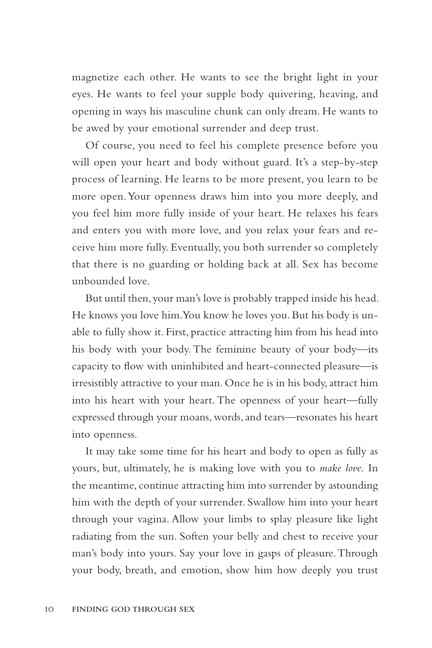magnetize each other. He wants to see the bright light in your eyes. He wants to feel your supple body quivering, heaving, and opening in ways his masculine chunk can only dream. He wants to be awed by your emotional surrender and deep trust.

Of course, you need to feel his complete presence before you will open your heart and body without guard. It's a step-by-step process of learning. He learns to be more present, you learn to be more open. Your openness draws him into you more deeply, and you feel him more fully inside of your heart. He relaxes his fears and enters you with more love, and you relax your fears and receive him more fully. Eventually, you both surrender so completely that there is no guarding or holding back at all. Sex has become unbounded love.

But until then, your man's love is probably trapped inside his head. He knows you love him. You know he loves you. But his body is unable to fully show it. First, practice attracting him from his head into his body with your body. The feminine beauty of your body—its capacity to flow with uninhibited and heart-connected pleasure—is irresistibly attractive to your man. Once he is in his body, attract him into his heart with your heart. The openness of your heart—fully expressed through your moans, words, and tears—resonates his heart into openness.

It may take some time for his heart and body to open as fully as yours, but, ultimately, he is making love with you to *make love.* In the meantime, continue attracting him into surrender by astounding him with the depth of your surrender. Swallow him into your heart through your vagina. Allow your limbs to splay pleasure like light radiating from the sun. Soften your belly and chest to receive your man's body into yours. Say your love in gasps of pleasure. Through your body, breath, and emotion, show him how deeply you trust